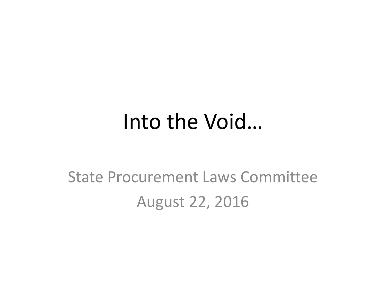#### Into the Void…

#### State Procurement Laws Committee August 22, 2016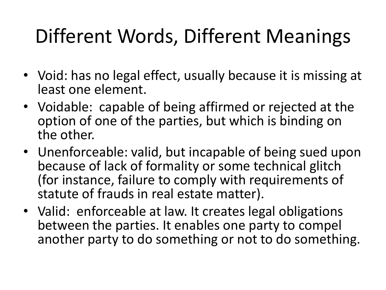### Different Words, Different Meanings

- Void: has no legal effect, usually because it is missing at least one element.
- Voidable: capable of being affirmed or rejected at the option of one of the parties, but which is binding on the other.
- Unenforceable: valid, but incapable of being sued upon because of lack of formality or some technical glitch (for instance, failure to comply with requirements of statute of frauds in real estate matter).
- Valid: enforceable at law. It creates legal obligations between the parties. It enables one party to compel another party to do something or not to do something.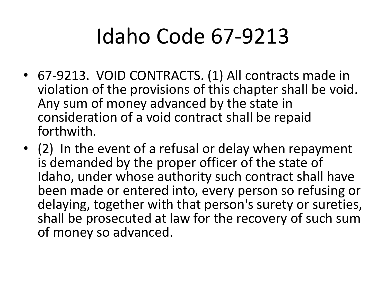## Idaho Code 67-9213

- 67-9213. VOID CONTRACTS. (1) All contracts made in violation of the provisions of this chapter shall be void. Any sum of money advanced by the state in consideration of a void contract shall be repaid forthwith.
- (2) In the event of a refusal or delay when repayment is demanded by the proper officer of the state of Idaho, under whose authority such contract shall have been made or entered into, every person so refusing or delaying, together with that person's surety or sureties, shall be prosecuted at law for the recovery of such sum of money so advanced.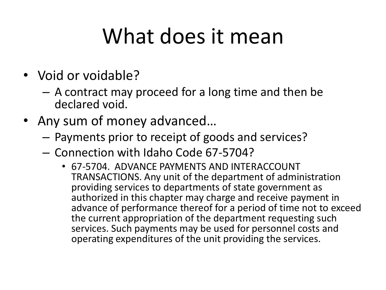## What does it mean

- Void or voidable?
	- A contract may proceed for a long time and then be declared void.
- Any sum of money advanced…
	- Payments prior to receipt of goods and services?
	- Connection with Idaho Code 67-5704?
		- 67-5704. ADVANCE PAYMENTS AND INTERACCOUNT TRANSACTIONS. Any unit of the department of administration providing services to departments of state government as authorized in this chapter may charge and receive payment in advance of performance thereof for a period of time not to exceed the current appropriation of the department requesting such services. Such payments may be used for personnel costs and operating expenditures of the unit providing the services.